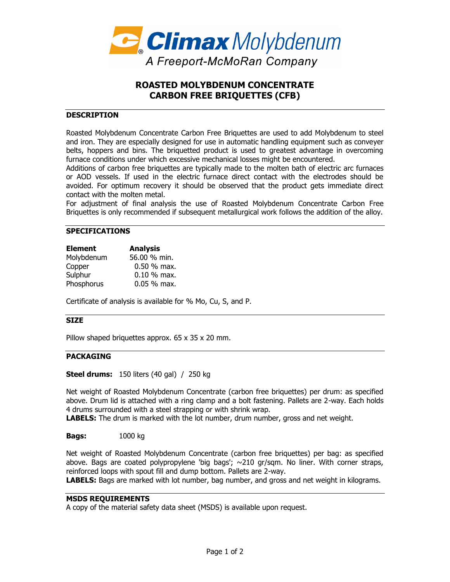

# **ROASTED MOLYBDENUM CONCENTRATE CARBON FREE BRIQUETTES (CFB)**

## **DESCRIPTION**

Roasted Molybdenum Concentrate Carbon Free Briquettes are used to add Molybdenum to steel and iron. They are especially designed for use in automatic handling equipment such as conveyer belts, hoppers and bins. The briquetted product is used to greatest advantage in overcoming furnace conditions under which excessive mechanical losses might be encountered.

Additions of carbon free briquettes are typically made to the molten bath of electric arc furnaces or AOD vessels. If used in the electric furnace direct contact with the electrodes should be avoided. For optimum recovery it should be observed that the product gets immediate direct contact with the molten metal.

For adjustment of final analysis the use of Roasted Molybdenum Concentrate Carbon Free Briquettes is only recommended if subsequent metallurgical work follows the addition of the alloy.

### **SPECIFICATIONS**

| <b>Element</b> | <b>Analysis</b> |
|----------------|-----------------|
| Molybdenum     | 56.00 % min.    |
| Copper         | $0.50$ % max.   |
| Sulphur        | $0.10 %$ max.   |
| Phosphorus     | $0.05 %$ max.   |

Certificate of analysis is available for % Mo, Cu, S, and P.

#### **SIZE**

Pillow shaped briquettes approx. 65 x 35 x 20 mm.

## **PACKAGING**

**Steel drums:** 150 liters (40 gal) / 250 kg

Net weight of Roasted Molybdenum Concentrate (carbon free briquettes) per drum: as specified above. Drum lid is attached with a ring clamp and a bolt fastening. Pallets are 2-way. Each holds 4 drums surrounded with a steel strapping or with shrink wrap.

**LABELS:** The drum is marked with the lot number, drum number, gross and net weight.

**Bags:** 1000 kg

Net weight of Roasted Molybdenum Concentrate (carbon free briquettes) per bag: as specified above. Bags are coated polypropylene 'big bags'; ~210 gr/sqm. No liner. With corner straps, reinforced loops with spout fill and dump bottom. Pallets are 2-way.

**LABELS:** Bags are marked with lot number, bag number, and gross and net weight in kilograms.

## **MSDS REQUIREMENTS**

A copy of the material safety data sheet (MSDS) is available upon request.